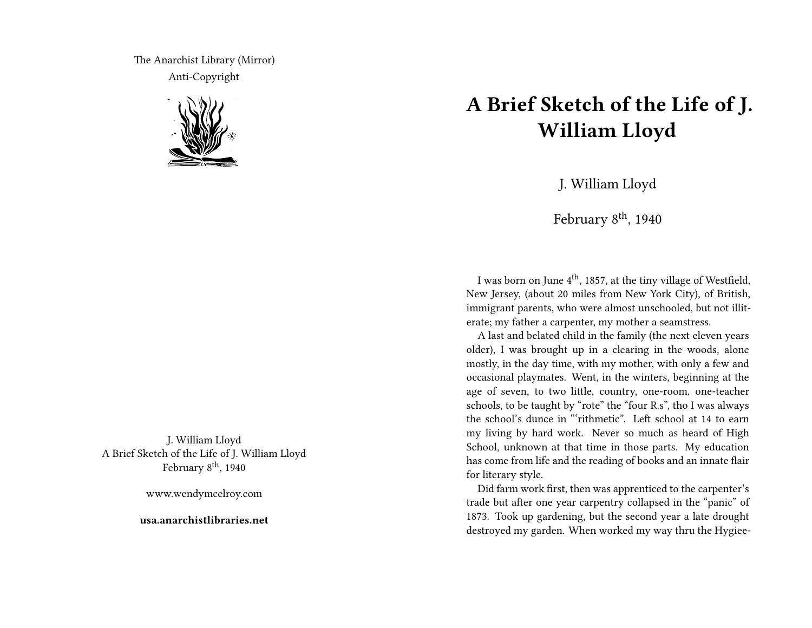The Anarchist Library (Mirror) Anti-Copyright



J. William Lloyd A Brief Sketch of the Life of J. William Lloyd February  $8^{\text{th}}$ , 1940

www.wendymcelroy.com

**usa.anarchistlibraries.net**

## **A Brief Sketch of the Life of J. William Lloyd**

J. William Lloyd

February  $8<sup>th</sup>$ , 1940

I was born on June  $4^{\rm th}$ , 1857, at the tiny village of Westfield, New Jersey, (about 20 miles from New York City), of British, immigrant parents, who were almost unschooled, but not illiterate; my father a carpenter, my mother a seamstress.

A last and belated child in the family (the next eleven years older), I was brought up in a clearing in the woods, alone mostly, in the day time, with my mother, with only a few and occasional playmates. Went, in the winters, beginning at the age of seven, to two little, country, one-room, one-teacher schools, to be taught by "rote" the "four R.s", tho I was always the school's dunce in "'rithmetic". Left school at 14 to earn my living by hard work. Never so much as heard of High School, unknown at that time in those parts. My education has come from life and the reading of books and an innate flair for literary style.

Did farm work first, then was apprenticed to the carpenter's trade but after one year carpentry collapsed in the "panic" of 1873. Took up gardening, but the second year a late drought destroyed my garden. When worked my way thru the Hygiee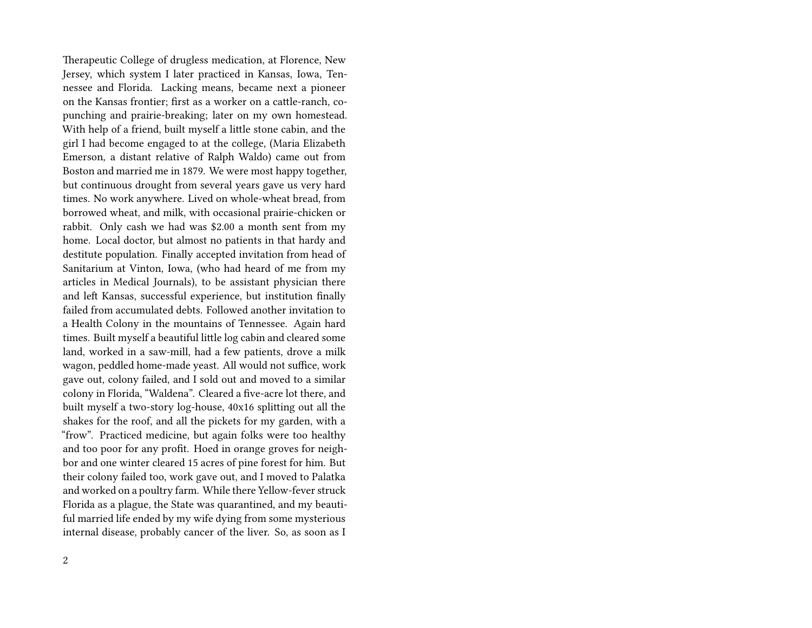Therapeutic College of drugless medication, at Florence, New Jersey, which system I later practiced in Kansas, Iowa, Tennessee and Florida. Lacking means, became next a pioneer on the Kansas frontier; first as a worker on a cattle-ranch, copunching and prairie-breaking; later on my own homestead. With help of a friend, built myself a little stone cabin, and the girl I had become engaged to at the college, (Maria Elizabeth Emerson, a distant relative of Ralph Waldo) came out from Boston and married me in 1879. We were most happy together, but continuous drought from several years gave us very hard times. No work anywhere. Lived on whole-wheat bread, from borrowed wheat, and milk, with occasional prairie-chicken or rabbit. Only cash we had was \$2.00 a month sent from my home. Local doctor, but almost no patients in that hardy and destitute population. Finally accepted invitation from head of Sanitarium at Vinton, Iowa, (who had heard of me from my articles in Medical Journals), to be assistant physician there and left Kansas, successful experience, but institution finally failed from accumulated debts. Followed another invitation to a Health Colony in the mountains of Tennessee. Again hard times. Built myself a beautiful little log cabin and cleared some land, worked in a saw-mill, had a few patients, drove a milk wagon, peddled home-made yeast. All would not suffice, work gave out, colony failed, and I sold out and moved to a similar colony in Florida, "Waldena". Cleared a five-acre lot there, and built myself a two-story log-house, 40x16 splitting out all the shakes for the roof, and all the pickets for my garden, with a "frow". Practiced medicine, but again folks were too healthy and too poor for any profit. Hoed in orange groves for neighbor and one winter cleared 15 acres of pine forest for him. But their colony failed too, work gave out, and I moved to Palatka and worked on a poultry farm. While there Yellow-fever struck Florida as a plague, the State was quarantined, and my beautiful married life ended by my wife dying from some mysterious internal disease, probably cancer of the liver. So, as soon as I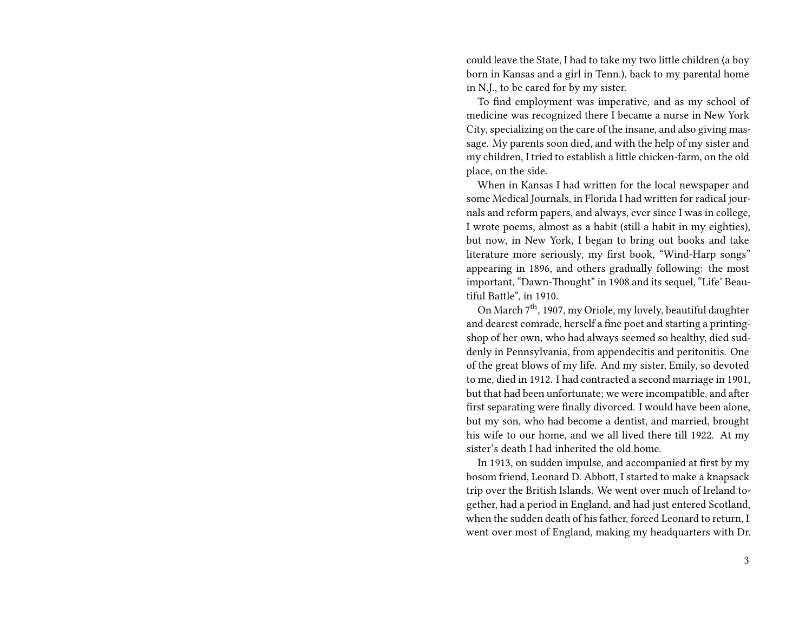could leave the State, I had to take my two little children (a boy born in Kansas and a girl in Tenn.), back to my parental home in N.J., to be cared for by my sister.

To find employment was imperative, and as my school of medicine was recognized there I became a nurse in New York City, specializing on the care of the insane, and also giving massage. My parents soon died, and with the help of my sister and my children, I tried to establish a little chicken-farm, on the old place, on the side.

When in Kansas I had written for the local newspaper and some Medical Journals, in Florida I had written for radical journals and reform papers, and always, ever since I was in college, I wrote poems, almost as a habit (still a habit in my eighties), but now, in New York, I began to bring out books and take literature more seriously, my first book, "Wind-Harp songs" appearing in 1896, and others gradually following: the most important, "Dawn-Thought" in 1908 and its sequel, "Life' Beautiful Battle", in 1910.

On March 7th, 1907, my Oriole, my lovely, beautiful daughter and dearest comrade, herself a fine poet and starting a printingshop of her own, who had always seemed so healthy, died suddenly in Pennsylvania, from appendecitis and peritonitis. One of the great blows of my life. And my sister, Emily, so devoted to me, died in 1912. I had contracted a second marriage in 1901, but that had been unfortunate; we were incompatible, and after first separating were finally divorced. I would have been alone, but my son, who had become a dentist, and married, brought his wife to our home, and we all lived there till 1922. At my sister's death I had inherited the old home.

In 1913, on sudden impulse, and accompanied at first by my bosom friend, Leonard D. Abbott, I started to make a knapsack trip over the British Islands. We went over much of Ireland together, had a period in England, and had just entered Scotland, when the sudden death of his father, forced Leonard to return, I went over most of England, making my headquarters with Dr.